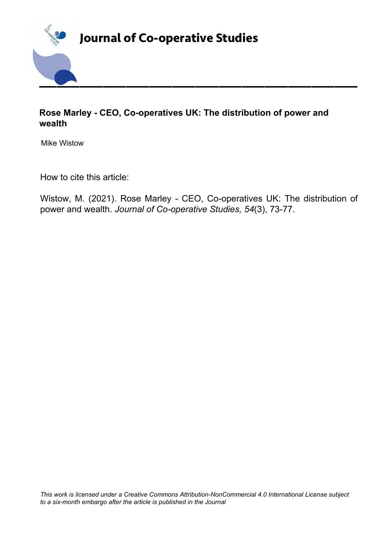

## **Rose Marley - CEO, Co-operatives UK: The distribution of power and wealth**

Mike Wistow

How to cite this article:

Wistow, M. (2021). Rose Marley - CEO, Co-operatives UK: The distribution of power and wealth. *Journal of Co-operative Studies, 54*(3), 73-77.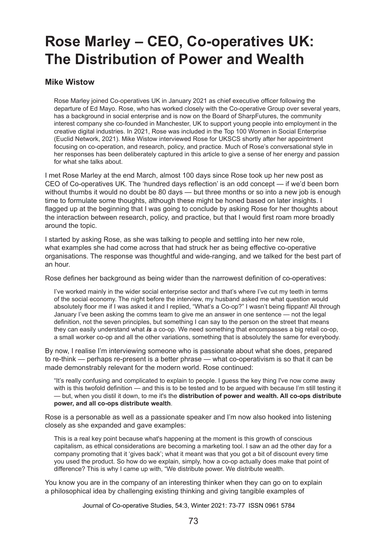# **Rose Marley – CEO, Co-operatives UK: The Distribution of Power and Wealth**

#### **Mike Wistow**

Rose Marley joined Co-operatives UK in January 2021 as chief executive officer following the departure of Ed Mayo. Rose, who has worked closely with the Co-operative Group over several years, has a background in social enterprise and is now on the Board of SharpFutures, the community interest company she co-founded in Manchester, UK to support young people into employment in the creative digital industries. In 2021, Rose was included in the Top 100 Women in Social Enterprise (Euclid Network, 2021). Mike Wistow interviewed Rose for UKSCS shortly after her appointment focusing on co-operation, and research, policy, and practice. Much of Rose's conversational style in her responses has been deliberately captured in this article to give a sense of her energy and passion for what she talks about.

I met Rose Marley at the end March, almost 100 days since Rose took up her new post as CEO of Co-operatives UK. The 'hundred days reflection' is an odd concept — if we'd been born without thumbs it would no doubt be 80 days — but three months or so into a new job is enough time to formulate some thoughts, although these might be honed based on later insights. I flagged up at the beginning that I was going to conclude by asking Rose for her thoughts about the interaction between research, policy, and practice, but that I would first roam more broadly around the topic.

I started by asking Rose, as she was talking to people and settling into her new role, what examples she had come across that had struck her as being effective co-operative organisations. The response was thoughtful and wide-ranging, and we talked for the best part of an hour.

Rose defines her background as being wider than the narrowest definition of co-operatives:

I've worked mainly in the wider social enterprise sector and that's where I've cut my teeth in terms of the social economy. The night before the interview, my husband asked me what question would absolutely floor me if I was asked it and I replied, "What's a Co-op?" I wasn't being flippant! All through January I've been asking the comms team to give me an answer in one sentence — not the legal definition, not the seven principles, but something I can say to the person on the street that means they can easily understand what *is* a co-op. We need something that encompasses a big retail co-op, a small worker co-op and all the other variations, something that is absolutely the same for everybody.

By now, I realise I'm interviewing someone who is passionate about what she does, prepared to re-think — perhaps re-present is a better phrase — what co-operativism is so that it can be made demonstrably relevant for the modern world. Rose continued:

"It's really confusing and complicated to explain to people. I guess the key thing I've now come away with is this twofold definition — and this is to be tested and to be argued with because I'm still testing it — but, when you distil it down, to me it's the **distribution of power and wealth. All co-ops distribute power, and all co-ops distribute wealth**.

Rose is a personable as well as a passionate speaker and I'm now also hooked into listening closely as she expanded and gave examples:

This is a real key point because what's happening at the moment is this growth of conscious capitalism, as ethical considerations are becoming a marketing tool. I saw an ad the other day for a company promoting that it 'gives back'; what it meant was that you got a bit of discount every time you used the product. So how do we explain, simply, how a co-op actually does make that point of difference? This is why I came up with, "We distribute power. We distribute wealth.

You know you are in the company of an interesting thinker when they can go on to explain a philosophical idea by challenging existing thinking and giving tangible examples of

Journal of Co-operative Studies, 54:3, Winter 2021: 73-77 ISSN 0961 5784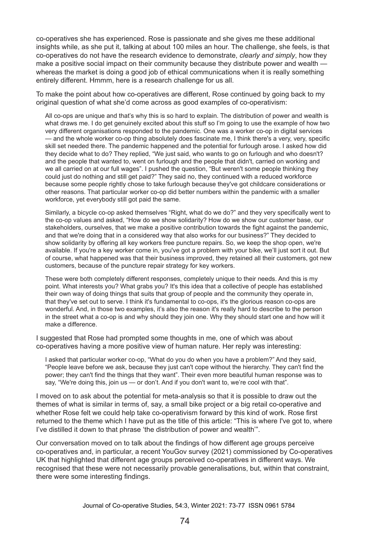co‑operatives she has experienced. Rose is passionate and she gives me these additional insights while, as she put it, talking at about 100 miles an hour. The challenge, she feels, is that co-operatives do not have the research evidence to demonstrate, *clearly and simply*, how they make a positive social impact on their community because they distribute power and wealth whereas the market is doing a good job of ethical communications when it is really something entirely different. Hmmm, here is a research challenge for us all.

To make the point about how co-operatives are different, Rose continued by going back to my original question of what she'd come across as good examples of co-operativism:

All co-ops are unique and that's why this is so hard to explain. The distribution of power and wealth is what draws me. I do get genuinely excited about this stuff so I'm going to use the example of how two very different organisations responded to the pandemic. One was a worker co-op in digital services — and the whole worker co-op thing absolutely does fascinate me, I think there's a very, very, specific skill set needed there. The pandemic happened and the potential for furlough arose. I asked how did they decide what to do? They replied, "We just said, who wants to go on furlough and who doesn't? and the people that wanted to, went on furlough and the people that didn't, carried on working and we all carried on at our full wages". I pushed the question, "But weren't some people thinking they could just do nothing and still get paid?" They said no, they continued with a reduced workforce because some people rightly chose to take furlough because they've got childcare considerations or other reasons. That particular worker co-op did better numbers within the pandemic with a smaller workforce, yet everybody still got paid the same.

Similarly, a bicycle co-op asked themselves "Right, what do we do?" and they very specifically went to the co-op values and asked, "How do we show solidarity? How do we show our customer base, our stakeholders, ourselves, that we make a positive contribution towards the fight against the pandemic, and that we're doing that in a considered way that also works for our business?" They decided to show solidarity by offering all key workers free puncture repairs. So, we keep the shop open, we're available. If you're a key worker come in, you've got a problem with your bike, we'll just sort it out. But of course, what happened was that their business improved, they retained all their customers, got new customers, because of the puncture repair strategy for key workers.

These were both completely different responses, completely unique to their needs. And this is my point. What interests you? What grabs you? It's this idea that a collective of people has established their own way of doing things that suits that group of people and the community they operate in, that they've set out to serve. I think it's fundamental to co-ops, it's the glorious reason co-ops are wonderful. And, in those two examples, it's also the reason it's really hard to describe to the person in the street what a co-op is and why should they join one. Why they should start one and how will it make a difference.

I suggested that Rose had prompted some thoughts in me, one of which was about co-operatives having a more positive view of human nature. Her reply was interesting:

I asked that particular worker co-op, "What do you do when you have a problem?" And they said, "People leave before we ask, because they just can't cope without the hierarchy. They can't find the power; they can't find the things that they want". Their even more beautiful human response was to say, "We're doing this, join us — or don't. And if you don't want to, we're cool with that".

I moved on to ask about the potential for meta-analysis so that it is possible to draw out the themes of what is similar in terms of, say, a small bike project or a big retail co-operative and whether Rose felt we could help take co-operativism forward by this kind of work. Rose first returned to the theme which I have put as the title of this article: "This is where I've got to, where I've distilled it down to that phrase 'the distribution of power and wealth'".

Our conversation moved on to talk about the findings of how different age groups perceive co‑operatives and, in particular, a recent YouGov survey (2021) commissioned by Co-operatives UK that highlighted that different age groups perceived co-operatives in different ways. We recognised that these were not necessarily provable generalisations, but, within that constraint, there were some interesting findings.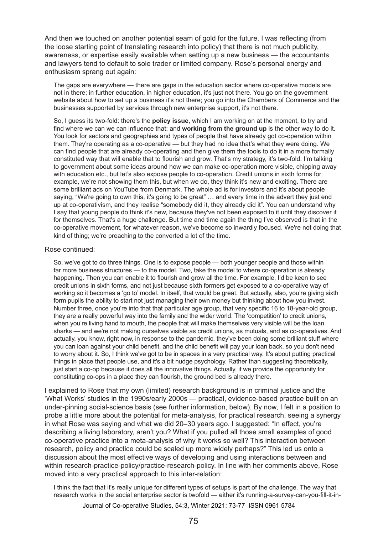And then we touched on another potential seam of gold for the future. I was reflecting (from the loose starting point of translating research into policy) that there is not much publicity, awareness, or expertise easily available when setting up a new business — the accountants and lawyers tend to default to sole trader or limited company. Rose's personal energy and enthusiasm sprang out again:

The gaps are everywhere — there are gaps in the education sector where co-operative models are not in there; in further education, in higher education, it's just not there. You go on the government website about how to set up a business it's not there; you go into the Chambers of Commerce and the businesses supported by services through new enterprise support, it's not there.

So, I guess its two-fold: there's the **policy issue**, which I am working on at the moment, to try and find where we can we can influence that; and **working from the ground up** is the other way to do it. You look for sectors and geographies and types of people that have already got co-operation within them. They're operating as a co-operative — but they had no idea that's what they were doing. We can find people that are already co-operating and then give them the tools to do it in a more formally constituted way that will enable that to flourish and grow. That's my strategy, it's two-fold. I'm talking to government about some ideas around how we can make co-operation more visible, chipping away with education etc., but let's also expose people to co-operation. Credit unions in sixth forms for example, we're not showing them this, but when we do, they think it's new and exciting. There are some brilliant ads on YouTube from Denmark. The whole ad is for investors and it's about people saying, "We're going to own this, it's going to be great" … and every time in the advert they just end up at co-operativism, and they realise "somebody did it, they already did it". You can understand why I say that young people do think it's new, because they've not been exposed to it until they discover it for themselves. That's a huge challenge. But time and time again the thing I've observed is that in the co-operative movement, for whatever reason, we've become so inwardly focused. We're not doing that kind of thing; we're preaching to the converted a lot of the time.

#### Rose continued:

So, we've got to do three things. One is to expose people — both younger people and those within far more business structures — to the model. Two, take the model to where co-operation is already happening. Then you can enable it to flourish and grow all the time. For example, I'd be keen to see credit unions in sixth forms, and not just because sixth formers get exposed to a co-operative way of working so it becomes a 'go to' model. In itself, that would be great. But actually, also, you're giving sixth form pupils the ability to start not just managing their own money but thinking about how you invest. Number three, once you're into that that particular age group, that very specific 16 to 18-year-old group, they are a really powerful way into the family and the wider world. The 'competition' to credit unions, when you're living hand to mouth, the people that will make themselves very visible will be the loan sharks — and we're not making ourselves visible as credit unions, as mutuals, and as co-operatives. And actually, you know, right now, in response to the pandemic, they've been doing some brilliant stuff where you can loan against your child benefit, and the child benefit will pay your loan back, so you don't need to worry about it. So, I think we've got to be in spaces in a very practical way. It's about putting practical things in place that people use, and it's a bit nudge psychology. Rather than suggesting theoretically, just start a co-op because it does all the innovative things. Actually, if we provide the opportunity for constituting co-ops in a place they can flourish, the ground bed is already there.

I explained to Rose that my own (limited) research background is in criminal justice and the 'What Works' studies in the 1990s/early 2000s — practical, evidence-based practice built on an under-pinning social-science basis (see further information, below). By now, I felt in a position to probe a little more about the potential for meta-analysis, for practical research, seeing a synergy in what Rose was saying and what we did 20–30 years ago. I suggested: "In effect, you're describing a living laboratory, aren't you? What if you pulled all those small examples of good co-operative practice into a meta-analysis of why it works so well? This interaction between research, policy and practice could be scaled up more widely perhaps?" This led us onto a discussion about the most effective ways of developing and using interactions between and within research-practice-policy/practice-research-policy. In line with her comments above, Rose moved into a very practical approach to this inter-relation:

I think the fact that it's really unique for different types of setups is part of the challenge. The way that research works in the social enterprise sector is twofold — either it's running-a-survey-can-you-fill-it-in-

Journal of Co-operative Studies, 54:3, Winter 2021: 73-77 ISSN 0961 5784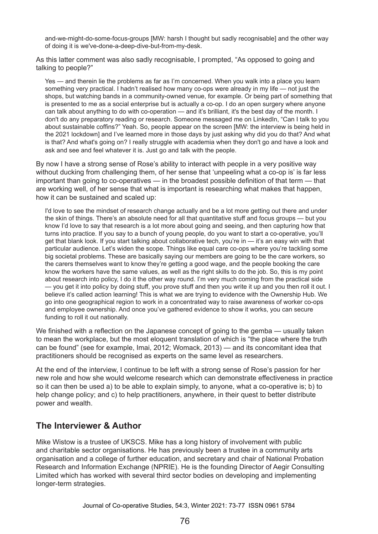and-we-might-do-some-focus-groups [MW: harsh I thought but sadly recognisable] and the other way of doing it is we've-done-a-deep-dive-but-from-my-desk.

As this latter comment was also sadly recognisable, I prompted, "As opposed to going and talking to people?"

Yes — and therein lie the problems as far as I'm concerned. When you walk into a place you learn something very practical. I hadn't realised how many co-ops were already in my life — not just the shops, but watching bands in a community-owned venue, for example. Or being part of something that is presented to me as a social enterprise but is actually a co-op. I do an open surgery where anyone can talk about anything to do with co-operation — and it's brilliant, it's the best day of the month. I don't do any preparatory reading or research. Someone messaged me on LinkedIn, "Can I talk to you about sustainable coffins?" Yeah. So, people appear on the screen [MW: the interview is being held in the 2021 lockdown] and I've learned more in those days by just asking why did you do that? And what is that? And what's going on? I really struggle with academia when they don't go and have a look and ask and see and feel whatever it is. Just go and talk with the people.

By now I have a strong sense of Rose's ability to interact with people in a very positive way without ducking from challenging them, of her sense that 'unpeeling what a co-op is' is far less important than going to co-operatives — in the broadest possible definition of that term — that are working well, of her sense that what is important is researching what makes that happen, how it can be sustained and scaled up:

I'd love to see the mindset of research change actually and be a lot more getting out there and under the skin of things. There's an absolute need for all that quantitative stuff and focus groups — but you know I'd love to say that research is a lot more about going and seeing, and then capturing how that turns into practice. If you say to a bunch of young people, do you want to start a co-operative, you'll get that blank look. If you start talking about collaborative tech, you're in — it's an easy win with that particular audience. Let's widen the scope. Things like equal care co-ops where you're tackling some big societal problems. These are basically saying our members are going to be the care workers, so the carers themselves want to know they're getting a good wage, and the people booking the care know the workers have the same values, as well as the right skills to do the job. So, this is my point about research into policy, I do it the other way round. I'm very much coming from the practical side — you get it into policy by doing stuff, you prove stuff and then you write it up and you then roll it out. I believe it's called action learning! This is what we are trying to evidence with the Ownership Hub. We go into one geographical region to work in a concentrated way to raise awareness of worker co‑ops and employee ownership. And once you've gathered evidence to show it works, you can secure funding to roll it out nationally.

We finished with a reflection on the Japanese concept of going to the gemba — usually taken to mean the workplace, but the most eloquent translation of which is "the place where the truth can be found" (see for example, Imai, 2012; Womack, 2013) — and its concomitant idea that practitioners should be recognised as experts on the same level as researchers.

At the end of the interview, I continue to be left with a strong sense of Rose's passion for her new role and how she would welcome research which can demonstrate effectiveness in practice so it can then be used a) to be able to explain simply, to anyone, what a co-operative is; b) to help change policy; and c) to help practitioners, anywhere, in their quest to better distribute power and wealth.

#### **The Interviewer & Author**

Mike Wistow is a trustee of UKSCS. Mike has a long history of involvement with public and charitable sector organisations. He has previously been a trustee in a community arts organisation and a college of further education, and secretary and chair of National Probation Research and Information Exchange (NPRIE). He is the founding Director of Aegir Consulting Limited which has worked with several third sector bodies on developing and implementing longer-term strategies.